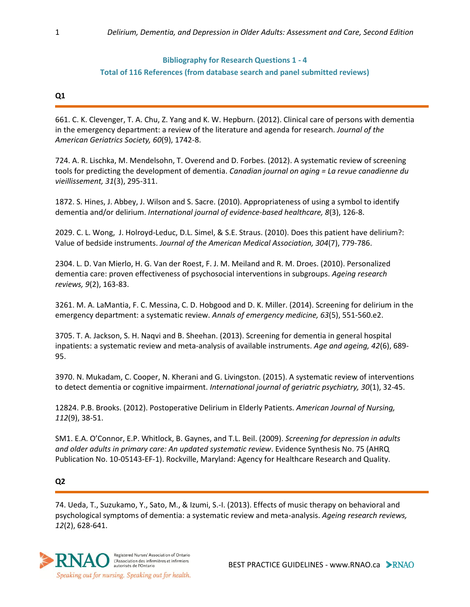# **Bibliography for Research Questions 1 - 4 Total of 116 References (from database search and panel submitted reviews)**

#### **Q1**

661. C. K. Clevenger, T. A. Chu, Z. Yang and K. W. Hepburn. (2012). Clinical care of persons with dementia in the emergency department: a review of the literature and agenda for research. *Journal of the American Geriatrics Society, 60*(9), 1742-8.

724. A. R. Lischka, M. Mendelsohn, T. Overend and D. Forbes. (2012). A systematic review of screening tools for predicting the development of dementia. *Canadian journal on aging = La revue canadienne du vieillissement, 31*(3), 295-311.

1872. S. Hines, J. Abbey, J. Wilson and S. Sacre. (2010). Appropriateness of using a symbol to identify dementia and/or delirium. *International journal of evidence-based healthcare, 8*(3), 126-8.

2029. C. L. Wong, J. Holroyd-Leduc, D.L. Simel, & S.E. Straus. (2010). Does this patient have delirium?: Value of bedside instruments. *Journal of the American Medical Association, 304*(7), 779-786.

2304. L. D. Van Mierlo, H. G. Van der Roest, F. J. M. Meiland and R. M. Droes. (2010). Personalized dementia care: proven effectiveness of psychosocial interventions in subgroups. *Ageing research reviews, 9*(2), 163-83.

3261. M. A. LaMantia, F. C. Messina, C. D. Hobgood and D. K. Miller. (2014). Screening for delirium in the emergency department: a systematic review. *Annals of emergency medicine, 63*(5), 551-560.e2.

3705. T. A. Jackson, S. H. Naqvi and B. Sheehan. (2013). Screening for dementia in general hospital inpatients: a systematic review and meta-analysis of available instruments. *Age and ageing, 42*(6), 689- 95.

3970. N. Mukadam, C. Cooper, N. Kherani and G. Livingston. (2015). A systematic review of interventions to detect dementia or cognitive impairment. *International journal of geriatric psychiatry, 30*(1), 32-45.

12824. P.B. Brooks. (2012). Postoperative Delirium in Elderly Patients. *American Journal of Nursing, 112*(9), 38-51.

SM1. E.A. O'Connor, E.P. Whitlock, B. Gaynes, and T.L. Beil. (2009). *Screening for depression in adults and older adults in primary care: An updated systematic review*. Evidence Synthesis No. 75 (AHRQ Publication No. 10-05143-EF-1). Rockville, Maryland: Agency for Healthcare Research and Quality.

## **Q2**

74. Ueda, T., Suzukamo, Y., Sato, M., & Izumi, S.-I. (2013). Effects of music therapy on behavioral and psychological symptoms of dementia: a systematic review and meta-analysis. *Ageing research reviews, 12*(2), 628-641.

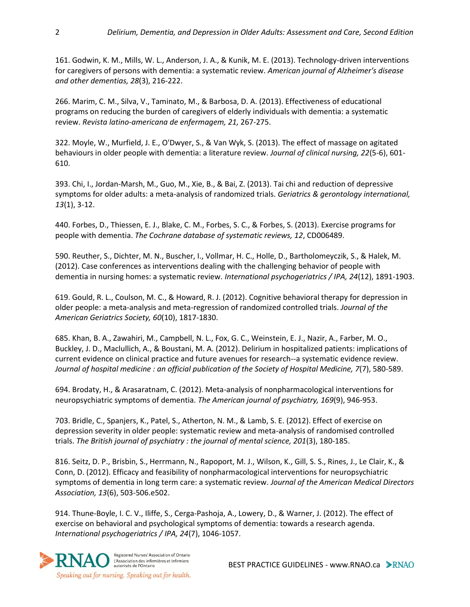161. Godwin, K. M., Mills, W. L., Anderson, J. A., & Kunik, M. E. (2013). Technology-driven interventions for caregivers of persons with dementia: a systematic review. *American journal of Alzheimer's disease and other dementias, 28*(3), 216-222.

266. Marim, C. M., Silva, V., Taminato, M., & Barbosa, D. A. (2013). Effectiveness of educational programs on reducing the burden of caregivers of elderly individuals with dementia: a systematic review. *Revista latino-americana de enfermagem, 21,* 267-275.

322. Moyle, W., Murfield, J. E., O'Dwyer, S., & Van Wyk, S. (2013). The effect of massage on agitated behaviours in older people with dementia: a literature review. *Journal of clinical nursing, 22*(5-6), 601- 610.

393. Chi, I., Jordan-Marsh, M., Guo, M., Xie, B., & Bai, Z. (2013). Tai chi and reduction of depressive symptoms for older adults: a meta-analysis of randomized trials. *Geriatrics & gerontology international, 13*(1), 3-12.

440. Forbes, D., Thiessen, E. J., Blake, C. M., Forbes, S. C., & Forbes, S. (2013). Exercise programs for people with dementia. *The Cochrane database of systematic reviews, 12*, CD006489.

590. Reuther, S., Dichter, M. N., Buscher, I., Vollmar, H. C., Holle, D., Bartholomeyczik, S., & Halek, M. (2012). Case conferences as interventions dealing with the challenging behavior of people with dementia in nursing homes: a systematic review. *International psychogeriatrics / IPA, 24*(12), 1891-1903.

619. Gould, R. L., Coulson, M. C., & Howard, R. J. (2012). Cognitive behavioral therapy for depression in older people: a meta-analysis and meta-regression of randomized controlled trials. *Journal of the American Geriatrics Society, 60*(10), 1817-1830.

685. Khan, B. A., Zawahiri, M., Campbell, N. L., Fox, G. C., Weinstein, E. J., Nazir, A., Farber, M. O., Buckley, J. D., Maclullich, A., & Boustani, M. A. (2012). Delirium in hospitalized patients: implications of current evidence on clinical practice and future avenues for research--a systematic evidence review. *Journal of hospital medicine : an official publication of the Society of Hospital Medicine, 7*(7), 580-589.

694. Brodaty, H., & Arasaratnam, C. (2012). Meta-analysis of nonpharmacological interventions for neuropsychiatric symptoms of dementia. *The American journal of psychiatry, 169*(9), 946-953.

703. Bridle, C., Spanjers, K., Patel, S., Atherton, N. M., & Lamb, S. E. (2012). Effect of exercise on depression severity in older people: systematic review and meta-analysis of randomised controlled trials. *The British journal of psychiatry : the journal of mental science, 201*(3), 180-185.

816. Seitz, D. P., Brisbin, S., Herrmann, N., Rapoport, M. J., Wilson, K., Gill, S. S., Rines, J., Le Clair, K., & Conn, D. (2012). Efficacy and feasibility of nonpharmacological interventions for neuropsychiatric symptoms of dementia in long term care: a systematic review. *Journal of the American Medical Directors Association, 13*(6), 503-506.e502.

914. Thune-Boyle, I. C. V., Iliffe, S., Cerga-Pashoja, A., Lowery, D., & Warner, J. (2012). The effect of exercise on behavioral and psychological symptoms of dementia: towards a research agenda. *International psychogeriatrics / IPA, 24*(7), 1046-1057.



BEST PRACTICE GUIDELINES - www.RNAO.ca > RNAO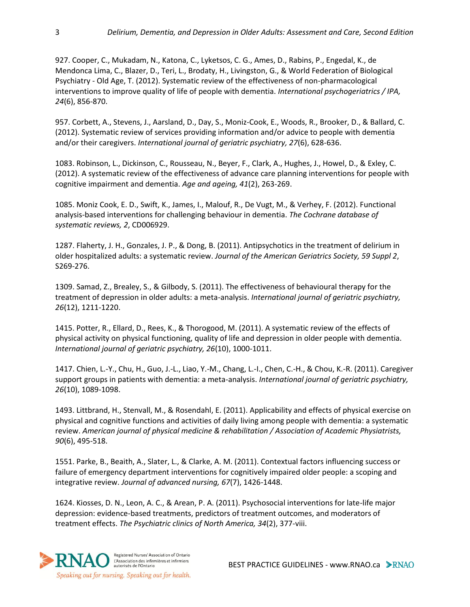927. Cooper, C., Mukadam, N., Katona, C., Lyketsos, C. G., Ames, D., Rabins, P., Engedal, K., de Mendonca Lima, C., Blazer, D., Teri, L., Brodaty, H., Livingston, G., & World Federation of Biological Psychiatry - Old Age, T. (2012). Systematic review of the effectiveness of non-pharmacological interventions to improve quality of life of people with dementia. *International psychogeriatrics / IPA, 24*(6), 856-870.

957. Corbett, A., Stevens, J., Aarsland, D., Day, S., Moniz-Cook, E., Woods, R., Brooker, D., & Ballard, C. (2012). Systematic review of services providing information and/or advice to people with dementia and/or their caregivers. *International journal of geriatric psychiatry, 27*(6), 628-636.

1083. Robinson, L., Dickinson, C., Rousseau, N., Beyer, F., Clark, A., Hughes, J., Howel, D., & Exley, C. (2012). A systematic review of the effectiveness of advance care planning interventions for people with cognitive impairment and dementia. *Age and ageing, 41*(2), 263-269.

1085. Moniz Cook, E. D., Swift, K., James, I., Malouf, R., De Vugt, M., & Verhey, F. (2012). Functional analysis-based interventions for challenging behaviour in dementia. *The Cochrane database of systematic reviews, 2*, CD006929.

1287. Flaherty, J. H., Gonzales, J. P., & Dong, B. (2011). Antipsychotics in the treatment of delirium in older hospitalized adults: a systematic review. *Journal of the American Geriatrics Society, 59 Suppl 2*, S269-276.

1309. Samad, Z., Brealey, S., & Gilbody, S. (2011). The effectiveness of behavioural therapy for the treatment of depression in older adults: a meta-analysis. *International journal of geriatric psychiatry, 26*(12), 1211-1220.

1415. Potter, R., Ellard, D., Rees, K., & Thorogood, M. (2011). A systematic review of the effects of physical activity on physical functioning, quality of life and depression in older people with dementia. *International journal of geriatric psychiatry, 26*(10), 1000-1011.

1417. Chien, L.-Y., Chu, H., Guo, J.-L., Liao, Y.-M., Chang, L.-I., Chen, C.-H., & Chou, K.-R. (2011). Caregiver support groups in patients with dementia: a meta-analysis. *International journal of geriatric psychiatry, 26*(10), 1089-1098.

1493. Littbrand, H., Stenvall, M., & Rosendahl, E. (2011). Applicability and effects of physical exercise on physical and cognitive functions and activities of daily living among people with dementia: a systematic review. *American journal of physical medicine & rehabilitation / Association of Academic Physiatrists, 90*(6), 495-518.

1551. Parke, B., Beaith, A., Slater, L., & Clarke, A. M. (2011). Contextual factors influencing success or failure of emergency department interventions for cognitively impaired older people: a scoping and integrative review. *Journal of advanced nursing, 67*(7), 1426-1448.

1624. Kiosses, D. N., Leon, A. C., & Arean, P. A. (2011). Psychosocial interventions for late-life major depression: evidence-based treatments, predictors of treatment outcomes, and moderators of treatment effects. *The Psychiatric clinics of North America, 34*(2), 377-viii.

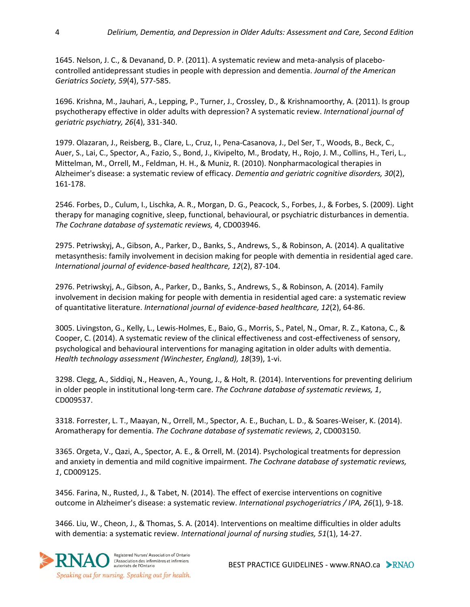1645. Nelson, J. C., & Devanand, D. P. (2011). A systematic review and meta-analysis of placebocontrolled antidepressant studies in people with depression and dementia. *Journal of the American Geriatrics Society, 59*(4), 577-585.

1696. Krishna, M., Jauhari, A., Lepping, P., Turner, J., Crossley, D., & Krishnamoorthy, A. (2011). Is group psychotherapy effective in older adults with depression? A systematic review. *International journal of geriatric psychiatry, 26*(4), 331-340.

1979. Olazaran, J., Reisberg, B., Clare, L., Cruz, I., Pena-Casanova, J., Del Ser, T., Woods, B., Beck, C., Auer, S., Lai, C., Spector, A., Fazio, S., Bond, J., Kivipelto, M., Brodaty, H., Rojo, J. M., Collins, H., Teri, L., Mittelman, M., Orrell, M., Feldman, H. H., & Muniz, R. (2010). Nonpharmacological therapies in Alzheimer's disease: a systematic review of efficacy. *Dementia and geriatric cognitive disorders, 30*(2), 161-178.

2546. Forbes, D., Culum, I., Lischka, A. R., Morgan, D. G., Peacock, S., Forbes, J., & Forbes, S. (2009). Light therapy for managing cognitive, sleep, functional, behavioural, or psychiatric disturbances in dementia. *The Cochrane database of systematic reviews,* 4, CD003946.

2975. Petriwskyj, A., Gibson, A., Parker, D., Banks, S., Andrews, S., & Robinson, A. (2014). A qualitative metasynthesis: family involvement in decision making for people with dementia in residential aged care. *International journal of evidence-based healthcare, 12*(2), 87-104.

2976. Petriwskyj, A., Gibson, A., Parker, D., Banks, S., Andrews, S., & Robinson, A. (2014). Family involvement in decision making for people with dementia in residential aged care: a systematic review of quantitative literature. *International journal of evidence-based healthcare, 12*(2), 64-86.

3005. Livingston, G., Kelly, L., Lewis-Holmes, E., Baio, G., Morris, S., Patel, N., Omar, R. Z., Katona, C., & Cooper, C. (2014). A systematic review of the clinical effectiveness and cost-effectiveness of sensory, psychological and behavioural interventions for managing agitation in older adults with dementia. *Health technology assessment (Winchester, England), 18*(39), 1-vi.

3298. Clegg, A., Siddiqi, N., Heaven, A., Young, J., & Holt, R. (2014). Interventions for preventing delirium in older people in institutional long-term care. *The Cochrane database of systematic reviews, 1*, CD009537.

3318. Forrester, L. T., Maayan, N., Orrell, M., Spector, A. E., Buchan, L. D., & Soares-Weiser, K. (2014). Aromatherapy for dementia. *The Cochrane database of systematic reviews, 2*, CD003150.

3365. Orgeta, V., Qazi, A., Spector, A. E., & Orrell, M. (2014). Psychological treatments for depression and anxiety in dementia and mild cognitive impairment. *The Cochrane database of systematic reviews, 1*, CD009125.

3456. Farina, N., Rusted, J., & Tabet, N. (2014). The effect of exercise interventions on cognitive outcome in Alzheimer's disease: a systematic review. *International psychogeriatrics / IPA, 26*(1), 9-18.

3466. Liu, W., Cheon, J., & Thomas, S. A. (2014). Interventions on mealtime difficulties in older adults with dementia: a systematic review. *International journal of nursing studies, 51*(1), 14-27.

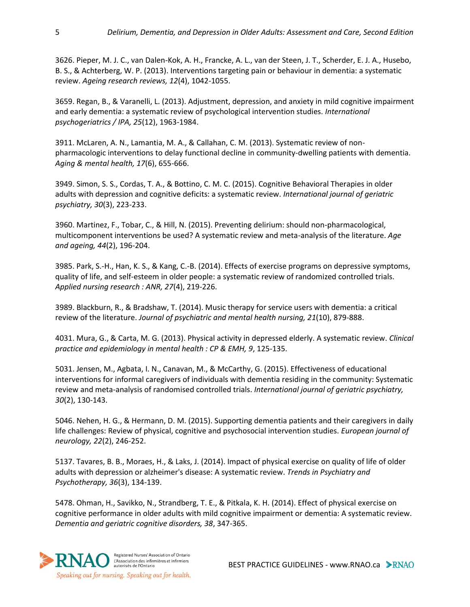3626. Pieper, M. J. C., van Dalen-Kok, A. H., Francke, A. L., van der Steen, J. T., Scherder, E. J. A., Husebo, B. S., & Achterberg, W. P. (2013). Interventions targeting pain or behaviour in dementia: a systematic review. *Ageing research reviews, 12*(4), 1042-1055.

3659. Regan, B., & Varanelli, L. (2013). Adjustment, depression, and anxiety in mild cognitive impairment and early dementia: a systematic review of psychological intervention studies. *International psychogeriatrics / IPA, 25*(12), 1963-1984.

3911. McLaren, A. N., Lamantia, M. A., & Callahan, C. M. (2013). Systematic review of nonpharmacologic interventions to delay functional decline in community-dwelling patients with dementia. *Aging & mental health, 17*(6), 655-666.

3949. Simon, S. S., Cordas, T. A., & Bottino, C. M. C. (2015). Cognitive Behavioral Therapies in older adults with depression and cognitive deficits: a systematic review. *International journal of geriatric psychiatry, 30*(3), 223-233.

3960. Martinez, F., Tobar, C., & Hill, N. (2015). Preventing delirium: should non-pharmacological, multicomponent interventions be used? A systematic review and meta-analysis of the literature. *Age and ageing, 44*(2), 196-204.

3985. Park, S.-H., Han, K. S., & Kang, C.-B. (2014). Effects of exercise programs on depressive symptoms, quality of life, and self-esteem in older people: a systematic review of randomized controlled trials. *Applied nursing research : ANR, 27*(4), 219-226.

3989. Blackburn, R., & Bradshaw, T. (2014). Music therapy for service users with dementia: a critical review of the literature. *Journal of psychiatric and mental health nursing, 21*(10), 879-888.

4031. Mura, G., & Carta, M. G. (2013). Physical activity in depressed elderly. A systematic review. *Clinical practice and epidemiology in mental health : CP & EMH, 9*, 125-135.

5031. Jensen, M., Agbata, I. N., Canavan, M., & McCarthy, G. (2015). Effectiveness of educational interventions for informal caregivers of individuals with dementia residing in the community: Systematic review and meta-analysis of randomised controlled trials. *International journal of geriatric psychiatry, 30*(2), 130-143.

5046. Nehen, H. G., & Hermann, D. M. (2015). Supporting dementia patients and their caregivers in daily life challenges: Review of physical, cognitive and psychosocial intervention studies. *European journal of neurology, 22*(2), 246-252.

5137. Tavares, B. B., Moraes, H., & Laks, J. (2014). Impact of physical exercise on quality of life of older adults with depression or alzheimer's disease: A systematic review. *Trends in Psychiatry and Psychotherapy, 36*(3), 134-139.

5478. Ohman, H., Savikko, N., Strandberg, T. E., & Pitkala, K. H. (2014). Effect of physical exercise on cognitive performance in older adults with mild cognitive impairment or dementia: A systematic review. *Dementia and geriatric cognitive disorders, 38*, 347-365.

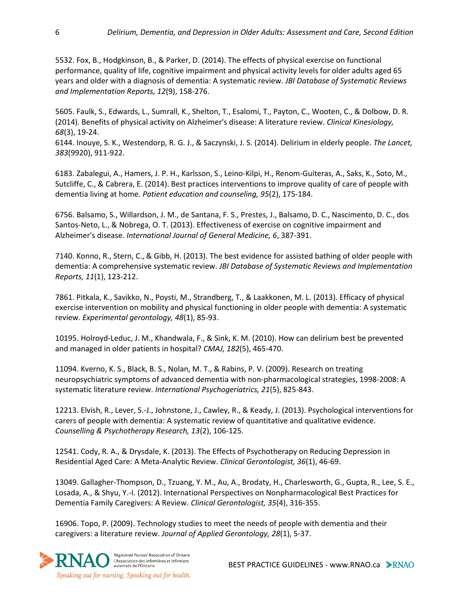5532. Fox, B., Hodgkinson, B., & Parker, D. (2014). The effects of physical exercise on functional performance, quality of life, cognitive impairment and physical activity levels for older adults aged 65 years and older with a diagnosis of dementia: A systematic review. *JBI Database of Systematic Reviews and Implementation Reports, 12*(9), 158-276.

5605. Faulk, S., Edwards, L., Sumrall, K., Shelton, T., Esalomi, T., Payton, C., Wooten, C., & Dolbow, D. R. (2014). Benefits of physical activity on Alzheimer's disease: A literature review. *Clinical Kinesiology, 68*(3), 19-24.

6144. Inouye, S. K., Westendorp, R. G. J., & Saczynski, J. S. (2014). Delirium in elderly people. *The Lancet, 383*(9920), 911-922.

6183. Zabalegui, A., Hamers, J. P. H., Karlsson, S., Leino-Kilpi, H., Renom-Guiteras, A., Saks, K., Soto, M., Sutcliffe, C., & Cabrera, E. (2014). Best practices interventions to improve quality of care of people with dementia living at home. *Patient education and counseling, 95*(2), 175-184.

6756. Balsamo, S., Willardson, J. M., de Santana, F. S., Prestes, J., Balsamo, D. C., Nascimento, D. C., dos Santos-Neto, L., & Nobrega, O. T. (2013). Effectiveness of exercise on cognitive impairment and Alzheimer's disease. *International Journal of General Medicine, 6*, 387-391.

7140. Konno, R., Stern, C., & Gibb, H. (2013). The best evidence for assisted bathing of older people with dementia: A comprehensive systematic review. *JBI Database of Systematic Reviews and Implementation Reports, 11*(1), 123-212.

7861. Pitkala, K., Savikko, N., Poysti, M., Strandberg, T., & Laakkonen, M. L. (2013). Efficacy of physical exercise intervention on mobility and physical functioning in older people with dementia: A systematic review. *Experimental gerontology, 48*(1), 85-93.

10195. Holroyd-Leduc, J. M., Khandwala, F., & Sink, K. M. (2010). How can delirium best be prevented and managed in older patients in hospital? *CMAJ, 182*(5), 465-470.

11094. Kverno, K. S., Black, B. S., Nolan, M. T., & Rabins, P. V. (2009). Research on treating neuropsychiatric symptoms of advanced dementia with non-pharmacological strategies, 1998-2008: A systematic literature review. *International Psychogeriatrics, 21*(5), 825-843.

12213. Elvish, R., Lever, S.-J., Johnstone, J., Cawley, R., & Keady, J. (2013). Psychological interventions for carers of people with dementia: A systematic review of quantitative and qualitative evidence. *Counselling & Psychotherapy Research, 13*(2), 106-125.

12541. Cody, R. A., & Drysdale, K. (2013). The Effects of Psychotherapy on Reducing Depression in Residential Aged Care: A Meta-Analytic Review. *Clinical Gerontologist, 36*(1), 46-69.

13049. Gallagher-Thompson, D., Tzuang, Y. M., Au, A., Brodaty, H., Charlesworth, G., Gupta, R., Lee, S. E., Losada, A., & Shyu, Y.-I. (2012). International Perspectives on Nonpharmacological Best Practices for Dementia Family Caregivers: A Review. *Clinical Gerontologist, 35*(4), 316-355.

16906. Topo, P. (2009). Technology studies to meet the needs of people with dementia and their caregivers: a literature review. *Journal of Applied Gerontology, 28*(1), 5-37.



BEST PRACTICE GUIDELINES - www.RNAO.ca > RNAO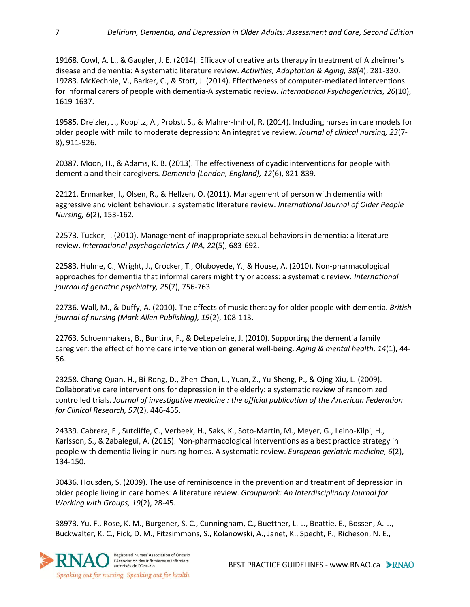19168. Cowl, A. L., & Gaugler, J. E. (2014). Efficacy of creative arts therapy in treatment of Alzheimer's disease and dementia: A systematic literature review. *Activities, Adaptation & Aging, 38*(4), 281-330. 19283. McKechnie, V., Barker, C., & Stott, J. (2014). Effectiveness of computer-mediated interventions for informal carers of people with dementia-A systematic review. *International Psychogeriatrics, 26*(10), 1619-1637.

19585. Dreizler, J., Koppitz, A., Probst, S., & Mahrer-Imhof, R. (2014). Including nurses in care models for older people with mild to moderate depression: An integrative review. *Journal of clinical nursing, 23*(7- 8), 911-926.

20387. Moon, H., & Adams, K. B. (2013). The effectiveness of dyadic interventions for people with dementia and their caregivers. *Dementia (London, England), 12*(6), 821-839.

22121. Enmarker, I., Olsen, R., & Hellzen, O. (2011). Management of person with dementia with aggressive and violent behaviour: a systematic literature review. *International Journal of Older People Nursing, 6*(2), 153-162.

22573. Tucker, I. (2010). Management of inappropriate sexual behaviors in dementia: a literature review. *International psychogeriatrics / IPA, 22*(5), 683-692.

22583. Hulme, C., Wright, J., Crocker, T., Oluboyede, Y., & House, A. (2010). Non-pharmacological approaches for dementia that informal carers might try or access: a systematic review. *International journal of geriatric psychiatry, 25*(7), 756-763.

22736. Wall, M., & Duffy, A. (2010). The effects of music therapy for older people with dementia. *British journal of nursing (Mark Allen Publishing), 19*(2), 108-113.

22763. Schoenmakers, B., Buntinx, F., & DeLepeleire, J. (2010). Supporting the dementia family caregiver: the effect of home care intervention on general well-being. *Aging & mental health, 14*(1), 44- 56.

23258. Chang-Quan, H., Bi-Rong, D., Zhen-Chan, L., Yuan, Z., Yu-Sheng, P., & Qing-Xiu, L. (2009). Collaborative care interventions for depression in the elderly: a systematic review of randomized controlled trials. *Journal of investigative medicine : the official publication of the American Federation for Clinical Research, 57*(2), 446-455.

24339. Cabrera, E., Sutcliffe, C., Verbeek, H., Saks, K., Soto-Martin, M., Meyer, G., Leino-Kilpi, H., Karlsson, S., & Zabalegui, A. (2015). Non-pharmacological interventions as a best practice strategy in people with dementia living in nursing homes. A systematic review. *European geriatric medicine, 6*(2), 134-150.

30436. Housden, S. (2009). The use of reminiscence in the prevention and treatment of depression in older people living in care homes: A literature review. *Groupwork: An Interdisciplinary Journal for Working with Groups, 19*(2), 28-45.

38973. Yu, F., Rose, K. M., Burgener, S. C., Cunningham, C., Buettner, L. L., Beattie, E., Bossen, A. L., Buckwalter, K. C., Fick, D. M., Fitzsimmons, S., Kolanowski, A., Janet, K., Specht, P., Richeson, N. E.,



BEST PRACTICE GUIDELINES - www.RNAO.ca > RNAO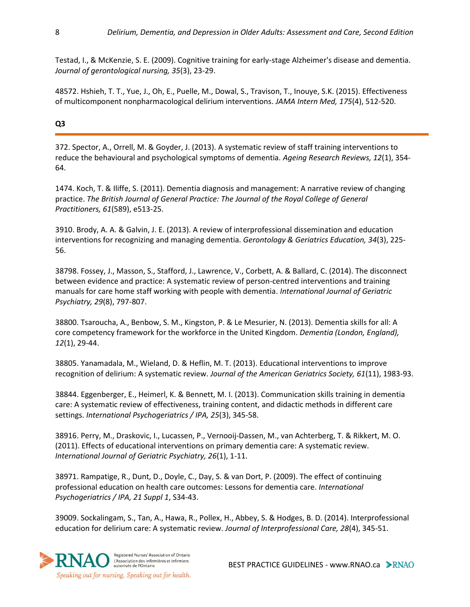Testad, I., & McKenzie, S. E. (2009). Cognitive training for early-stage Alzheimer's disease and dementia. *Journal of gerontological nursing, 35*(3), 23-29.

48572. Hshieh, T. T., Yue, J., Oh, E., Puelle, M., Dowal, S., Travison, T., Inouye, S.K. (2015). Effectiveness of multicomponent nonpharmacological delirium interventions. *JAMA Intern Med, 175*(4), 512-520.

**Q3**

372. Spector, A., Orrell, M. & Goyder, J. (2013). A systematic review of staff training interventions to reduce the behavioural and psychological symptoms of dementia. *Ageing Research Reviews, 12*(1), 354- 64.

1474. Koch, T. & Iliffe, S. (2011). Dementia diagnosis and management: A narrative review of changing practice. *The British Journal of General Practice: The Journal of the Royal College of General Practitioners, 61*(589), e513-25.

3910. Brody, A. A. & Galvin, J. E. (2013). A review of interprofessional dissemination and education interventions for recognizing and managing dementia. *Gerontology & Geriatrics Education, 34*(3), 225- 56.

38798. Fossey, J., Masson, S., Stafford, J., Lawrence, V., Corbett, A. & Ballard, C. (2014). The disconnect between evidence and practice: A systematic review of person-centred interventions and training manuals for care home staff working with people with dementia. *International Journal of Geriatric Psychiatry, 29*(8), 797-807.

38800. Tsaroucha, A., Benbow, S. M., Kingston, P. & Le Mesurier, N. (2013). Dementia skills for all: A core competency framework for the workforce in the United Kingdom. *Dementia (London, England), 12*(1), 29-44.

38805. Yanamadala, M., Wieland, D. & Heflin, M. T. (2013). Educational interventions to improve recognition of delirium: A systematic review. *Journal of the American Geriatrics Society, 61*(11), 1983-93.

38844. Eggenberger, E., Heimerl, K. & Bennett, M. I. (2013). Communication skills training in dementia care: A systematic review of effectiveness, training content, and didactic methods in different care settings. *International Psychogeriatrics / IPA, 25*(3), 345-58.

38916. Perry, M., Draskovic, I., Lucassen, P., Vernooij-Dassen, M., van Achterberg, T. & Rikkert, M. O. (2011). Effects of educational interventions on primary dementia care: A systematic review. *International Journal of Geriatric Psychiatry, 26*(1), 1-11.

38971. Rampatige, R., Dunt, D., Doyle, C., Day, S. & van Dort, P. (2009). The effect of continuing professional education on health care outcomes: Lessons for dementia care. *International Psychogeriatrics / IPA, 21 Suppl 1*, S34-43.

39009. Sockalingam, S., Tan, A., Hawa, R., Pollex, H., Abbey, S. & Hodges, B. D. (2014). Interprofessional education for delirium care: A systematic review. *Journal of Interprofessional Care, 28*(4), 345-51.

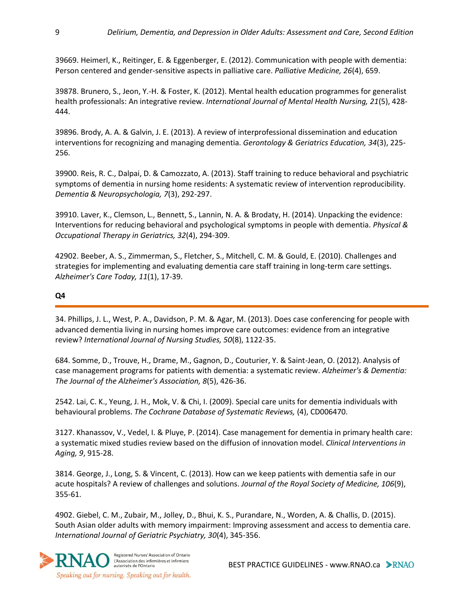39669. Heimerl, K., Reitinger, E. & Eggenberger, E. (2012). Communication with people with dementia: Person centered and gender-sensitive aspects in palliative care. *Palliative Medicine, 26*(4), 659.

39878. Brunero, S., Jeon, Y.-H. & Foster, K. (2012). Mental health education programmes for generalist health professionals: An integrative review. *International Journal of Mental Health Nursing, 21*(5), 428- 444.

39896. Brody, A. A. & Galvin, J. E. (2013). A review of interprofessional dissemination and education interventions for recognizing and managing dementia. *Gerontology & Geriatrics Education, 34*(3), 225- 256.

39900. Reis, R. C., Dalpai, D. & Camozzato, A. (2013). Staff training to reduce behavioral and psychiatric symptoms of dementia in nursing home residents: A systematic review of intervention reproducibility. *Dementia & Neuropsychologia, 7*(3), 292-297.

39910. Laver, K., Clemson, L., Bennett, S., Lannin, N. A. & Brodaty, H. (2014). Unpacking the evidence: Interventions for reducing behavioral and psychological symptoms in people with dementia. *Physical & Occupational Therapy in Geriatrics, 32*(4), 294-309.

42902. Beeber, A. S., Zimmerman, S., Fletcher, S., Mitchell, C. M. & Gould, E. (2010). Challenges and strategies for implementing and evaluating dementia care staff training in long-term care settings. *Alzheimer's Care Today, 11*(1), 17-39.

### **Q4**

34. Phillips, J. L., West, P. A., Davidson, P. M. & Agar, M. (2013). Does case conferencing for people with advanced dementia living in nursing homes improve care outcomes: evidence from an integrative review? *International Journal of Nursing Studies, 50*(8), 1122-35.

684. Somme, D., Trouve, H., Drame, M., Gagnon, D., Couturier, Y. & Saint-Jean, O. (2012). Analysis of case management programs for patients with dementia: a systematic review. *Alzheimer's & Dementia: The Journal of the Alzheimer's Association, 8*(5), 426-36.

2542. Lai, C. K., Yeung, J. H., Mok, V. & Chi, I. (2009). Special care units for dementia individuals with behavioural problems. *The Cochrane Database of Systematic Reviews,* (4), CD006470.

3127. Khanassov, V., Vedel, I. & Pluye, P. (2014). Case management for dementia in primary health care: a systematic mixed studies review based on the diffusion of innovation model. *Clinical Interventions in Aging, 9*, 915-28.

3814. George, J., Long, S. & Vincent, C. (2013). How can we keep patients with dementia safe in our acute hospitals? A review of challenges and solutions. *Journal of the Royal Society of Medicine, 106*(9), 355-61.

4902. Giebel, C. M., Zubair, M., Jolley, D., Bhui, K. S., Purandare, N., Worden, A. & Challis, D. (2015). South Asian older adults with memory impairment: Improving assessment and access to dementia care. *International Journal of Geriatric Psychiatry, 30*(4), 345-356.